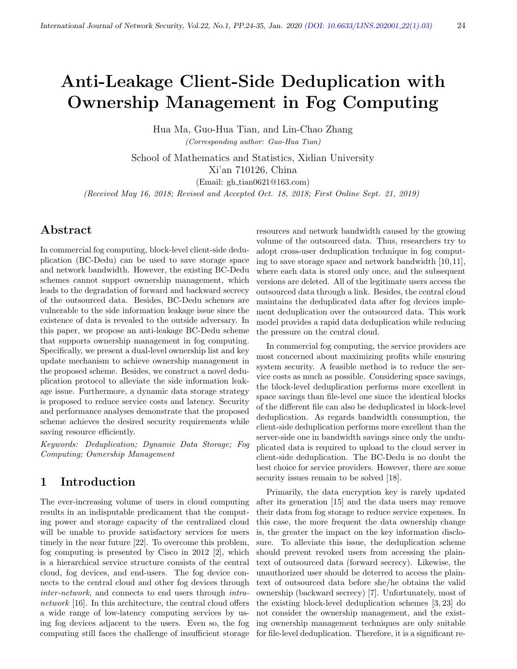# Anti-Leakage Client-Side Deduplication with Ownership Management in Fog Computing

Hua Ma, Guo-Hua Tian, and Lin-Chao Zhang (Corresponding author: Guo-Hua Tian)

School of Mathematics and Statistics, Xidian University Xi'an 710126, China

(Email: gh tian0621@163.com)

(Received May 16, 2018; Revised and Accepted Oct. 18, 2018; First Online Sept. 21, 2019)

# Abstract

In commercial fog computing, block-level client-side deduplication (BC-Dedu) can be used to save storage space and network bandwidth. However, the existing BC-Dedu schemes cannot support ownership management, which leads to the degradation of forward and backward secrecy of the outsourced data. Besides, BC-Dedu schemes are vulnerable to the side information leakage issue since the existence of data is revealed to the outside adversary. In this paper, we propose an anti-leakage BC-Dedu scheme that supports ownership management in fog computing. Specifically, we present a dual-level ownership list and key update mechanism to achieve ownership management in the proposed scheme. Besides, we construct a novel deduplication protocol to alleviate the side information leakage issue. Furthermore, a dynamic data storage strategy is proposed to reduce service costs and latency. Security and performance analyses demonstrate that the proposed scheme achieves the desired security requirements while saving resource efficiently.

Keywords: Deduplication; Dynamic Data Storage; Fog Computing; Ownership Management

# 1 Introduction

The ever-increasing volume of users in cloud computing results in an indisputable predicament that the computing power and storage capacity of the centralized cloud will be unable to provide satisfactory services for users timely in the near future [22]. To overcome this problem, fog computing is presented by Cisco in 2012 [2], which is a hierarchical service structure consists of the central cloud, fog devices, and end-users. The fog device connects to the central cloud and other fog devices through inter-network, and connects to end users through intranetwork [16]. In this architecture, the central cloud offers a wide range of low-latency computing services by using fog devices adjacent to the users. Even so, the fog computing still faces the challenge of insufficient storage resources and network bandwidth caused by the growing volume of the outsourced data. Thus, researchers try to adopt cross-user deduplication technique in fog computing to save storage space and network bandwidth [10, 11], where each data is stored only once, and the subsequent versions are deleted. All of the legitimate users access the outsourced data through a link. Besides, the central cloud maintains the deduplicated data after fog devices implement deduplication over the outsourced data. This work model provides a rapid data deduplication while reducing the pressure on the central cloud.

In commercial fog computing, the service providers are most concerned about maximizing profits while ensuring system security. A feasible method is to reduce the service costs as much as possible. Considering space savings, the block-level deduplication performs more excellent in space savings than file-level one since the identical blocks of the different file can also be deduplicated in block-level deduplication. As regards bandwidth consumption, the client-side deduplication performs more excellent than the server-side one in bandwidth savings since only the unduplicated data is required to upload to the cloud server in client-side deduplication. The BC-Dedu is no doubt the best choice for service providers. However, there are some security issues remain to be solved [18].

Primarily, the data encryption key is rarely updated after its generation [15] and the data users may remove their data from fog storage to reduce service expenses. In this case, the more frequent the data ownership change is, the greater the impact on the key information disclosure. To alleviate this issue, the deduplication scheme should prevent revoked users from accessing the plaintext of outsourced data (forward secrecy). Likewise, the unauthorized user should be deterred to access the plaintext of outsourced data before she/he obtains the valid ownership (backward secrecy) [7]. Unfortunately, most of the existing block-level deduplication schemes [3, 23] do not consider the ownership management, and the existing ownership management techniques are only suitable for file-level deduplication. Therefore, it is a significant re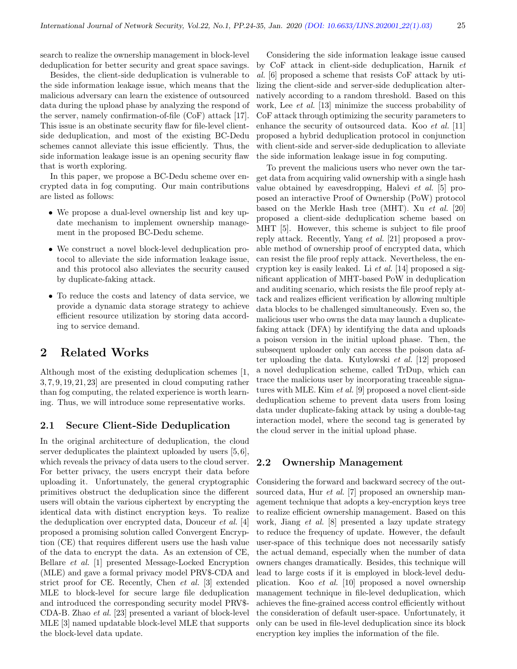search to realize the ownership management in block-level deduplication for better security and great space savings.

Besides, the client-side deduplication is vulnerable to the side information leakage issue, which means that the malicious adversary can learn the existence of outsourced data during the upload phase by analyzing the respond of the server, namely confirmation-of-file (CoF) attack [17]. This issue is an obstinate security flaw for file-level clientside deduplication, and most of the existing BC-Dedu schemes cannot alleviate this issue efficiently. Thus, the side information leakage issue is an opening security flaw that is worth exploring.

In this paper, we propose a BC-Dedu scheme over encrypted data in fog computing. Our main contributions are listed as follows:

- We propose a dual-level ownership list and key update mechanism to implement ownership management in the proposed BC-Dedu scheme.
- We construct a novel block-level deduplication protocol to alleviate the side information leakage issue, and this protocol also alleviates the security caused by duplicate-faking attack.
- To reduce the costs and latency of data service, we provide a dynamic data storage strategy to achieve efficient resource utilization by storing data according to service demand.

# 2 Related Works

Although most of the existing deduplication schemes [1, 3, 7, 9, 19, 21, 23] are presented in cloud computing rather than fog computing, the related experience is worth learning. Thus, we will introduce some representative works.

#### 2.1 Secure Client-Side Deduplication

In the original architecture of deduplication, the cloud server deduplicates the plaintext uploaded by users [5, 6], which reveals the privacy of data users to the cloud server. For better privacy, the users encrypt their data before uploading it. Unfortunately, the general cryptographic primitives obstruct the deduplication since the different users will obtain the various ciphertext by encrypting the identical data with distinct encryption keys. To realize the deduplication over encrypted data, Douceur et al. [4] proposed a promising solution called Convergent Encryption (CE) that requires different users use the hash value of the data to encrypt the data. As an extension of CE, Bellare et al. [1] presented Message-Locked Encryption (MLE) and gave a formal privacy model PRV\$-CDA and strict proof for CE. Recently, Chen et al. [3] extended MLE to block-level for secure large file deduplication and introduced the corresponding security model PRV\$- CDA-B. Zhao et al. [23] presented a variant of block-level MLE [3] named updatable block-level MLE that supports the block-level data update.

Considering the side information leakage issue caused by CoF attack in client-side deduplication, Harnik et al. [6] proposed a scheme that resists CoF attack by utilizing the client-side and server-side deduplication alternatively according to a random threshold. Based on this work, Lee et al. [13] minimize the success probability of CoF attack through optimizing the security parameters to enhance the security of outsourced data. Koo et al. [11] proposed a hybrid deduplication protocol in conjunction with client-side and server-side deduplication to alleviate the side information leakage issue in fog computing.

To prevent the malicious users who never own the target data from acquiring valid ownership with a single hash value obtained by eavesdropping, Halevi et al. [5] proposed an interactive Proof of Ownership (PoW) protocol based on the Merkle Hash tree (MHT). Xu et al. [20] proposed a client-side deduplication scheme based on MHT [5]. However, this scheme is subject to file proof reply attack. Recently, Yang et al. [21] proposed a provable method of ownership proof of encrypted data, which can resist the file proof reply attack. Nevertheless, the encryption key is easily leaked. Li et al. [14] proposed a significant application of MHT-based PoW in deduplication and auditing scenario, which resists the file proof reply attack and realizes efficient verification by allowing multiple data blocks to be challenged simultaneously. Even so, the malicious user who owns the data may launch a duplicatefaking attack (DFA) by identifying the data and uploads a poison version in the initial upload phase. Then, the subsequent uploader only can access the poison data after uploading the data. Kutylowski et al. [12] proposed a novel deduplication scheme, called TrDup, which can trace the malicious user by incorporating traceable signatures with MLE. Kim et al. [9] proposed a novel client-side deduplication scheme to prevent data users from losing data under duplicate-faking attack by using a double-tag interaction model, where the second tag is generated by the cloud server in the initial upload phase.

## 2.2 Ownership Management

Considering the forward and backward secrecy of the outsourced data, Hur *et al.* [7] proposed an ownership management technique that adopts a key-encryption keys tree to realize efficient ownership management. Based on this work, Jiang et al. [8] presented a lazy update strategy to reduce the frequency of update. However, the default user-space of this technique does not necessarily satisfy the actual demand, especially when the number of data owners changes dramatically. Besides, this technique will lead to large costs if it is employed in block-level deduplication. Koo et al. [10] proposed a novel ownership management technique in file-level deduplication, which achieves the fine-grained access control efficiently without the consideration of default user-space. Unfortunately, it only can be used in file-level deduplication since its block encryption key implies the information of the file.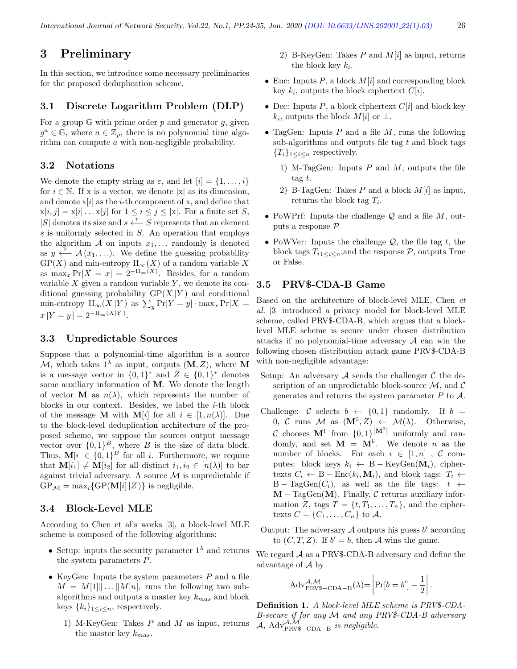# 3 Preliminary

In this section, we introduce some necessary preliminaries for the proposed deduplication scheme.

#### 3.1 Discrete Logarithm Problem (DLP)

For a group  $\mathbb{G}$  with prime order p and generator g, given  $g^a \in \mathbb{G}$ , where  $a \in \mathbb{Z}_p$ , there is no polynomial time algorithm can compute a with non-negligible probability.

## 3.2 Notations

We denote the empty string as  $\varepsilon$ , and let  $[i] = \{1, \ldots, i\}$ for  $i \in \mathbb{N}$ . If x is a vector, we denote |x| as its dimension, and denote  $x[i]$  as the *i*-th component of x, and define that  $x[i, j] = x[i] \dots x[j]$  for  $1 \le i \le j \le |x|$ . For a finite set S,  $|S|$  denotes its size and  $s \stackrel{r}{\longleftarrow} S$  represents that an element s is uniformly selected in S. An operation that employs the algorithm  $\mathcal A$  on inputs  $x_1, \ldots$  randomly is denoted as  $y \stackrel{\sim}{\longleftarrow} \mathcal{A}(x_1,\ldots)$ . We define the guessing probability  $\mathcal{GP}(X)$  and min-entropy  $\mathcal{H}_{\infty}(X)$  of a random variable X as  $\max_x \Pr[X = x] = 2^{-H_{\infty}(X)}$ . Besides, for a random variable  $X$  given a random variable  $Y$ , we denote its conditional guessing probability  $\mathbb{GP}(X | Y)$  and conditional min-entropy  $H_{\infty}(X|Y)$  as  $\sum_{y} Pr[Y=y] \cdot \max_{x} Pr[X=x]$  $x|Y=y|=2^{-H_{\infty}(X|Y)}$ .

## 3.3 Unpredictable Sources

Suppose that a polynomial-time algorithm is a source M, which takes  $1^{\lambda}$  as input, outputs  $(M, Z)$ , where M is a message vector in  $\{0,1\}^*$  and  $Z \in \{0,1\}^*$  denotes some auxiliary information of M. We denote the length of vector **M** as  $n(\lambda)$ , which represents the number of blocks in our context. Besides, we label the i-th block of the message **M** with **M**[i] for all  $i \in [1, n(\lambda)]$ . Due to the block-level deduplication architecture of the proposed scheme, we suppose the sources output message vector over  $\{0,1\}^B$ , where B is the size of data block. Thus,  $\mathbf{M}[i] \in \{0,1\}^B$  for all *i*. Furthermore, we require that  $M[i_1] \neq M[i_2]$  for all distinct  $i_1, i_2 \in [n(\lambda)]$  to bar against trivial adversary. A source  $\mathcal M$  is unpredictable if  $GP_{\mathcal{M}} = \max_i \{GP(M[i] | Z) \}$  is negligible.

## 3.4 Block-Level MLE

According to Chen et al's works [3], a block-level MLE scheme is composed of the following algorithms:

- Setup: inputs the security parameter  $1^{\lambda}$  and returns the system parameters P.
- KeyGen: Inputs the system parameters  $P$  and a file  $M = M[1]\| \dots \| M[n],$  runs the following two subalgorithms and outputs a master key  $k_{mas}$  and block keys  $\{k_i\}_{1\leq i\leq n}$ , respectively.
	- 1) M-KeyGen: Takes  $P$  and  $M$  as input, returns the master key  $k_{mas}$ .
- 2) B-KeyGen: Takes  $P$  and  $M[i]$  as input, returns the block key  $k_i$ .
- Enc: Inputs  $P$ , a block  $M[i]$  and corresponding block key  $k_i$ , outputs the block ciphertext  $C[i]$ .
- Dec: Inputs  $P$ , a block ciphertext  $C[i]$  and block key  $k_i$ , outputs the block  $M[i]$  or  $\perp$ .
- TagGen: Inputs  $P$  and a file  $M$ , runs the following sub-algorithms and outputs file tag  $t$  and block tags  ${T<sub>i</sub>}<sub>1</sub> <sub>i < n</sub> respectively.$ 
	- 1) M-TagGen: Inputs  $P$  and  $M$ , outputs the file tag t.
	- 2) B-TagGen: Takes P and a block  $M[i]$  as input, returns the block tag  $T_i$ .
- PoWPrf: Inputs the challenge  $\mathcal Q$  and a file  $M$ , outputs a response P
- PoWVer: Inputs the challenge  $\mathcal{Q}$ , the file tag t, the block tags  $T_{i1 \leq i \leq n}$ , and the response  $P$ , outputs True or False.

## 3.5 PRV\$-CDA-B Game

Based on the architecture of block-level MLE, Chen et al. [3] introduced a privacy model for block-level MLE scheme, called PRV\$-CDA-B, which argues that a blocklevel MLE scheme is secure under chosen distribution attacks if no polynomial-time adversary  $\mathcal A$  can win the following chosen distribution attack game PRV\$-CDA-B with non-negligible advantage:

- Setup: An adversary  $A$  sends the challenger  $C$  the description of an unpredictable block-source  $\mathcal{M}$ , and  $\mathcal{C}$ generates and returns the system parameter  $P$  to  $\mathcal{A}$ .
- Challenge: C selects  $b \leftarrow \{0, 1\}$  randomly. If  $b =$ 0, C runs M as  $(M^0, Z) \leftarrow \mathcal{M}(\lambda)$ . Otherwise, C chooses  $M^1$  from  $\{0,1\}^{\vert M^0\vert}$  uniformly and randomly, and set  $\mathbf{M} = \mathbf{M}^b$ . We denote *n* as the number of blocks. For each  $i \in [1, n]$ , C computes: block keys  $k_i \leftarrow B - \text{KeyGen}(\mathbf{M}_i)$ , ciphertexts  $C_i \leftarrow B - \text{Enc}(k_i, \mathbf{M}_i)$ , and block tags:  $T_i \leftarrow$ B – TagGen $(C_i)$ , as well as the file tags:  $t \leftarrow$  $M - TagGen(M)$ . Finally, C returns auxiliary information Z, tags  $T = \{t, T_1, \ldots, T_n\}$ , and the ciphertexts  $C = \{C_1, \ldots, C_n\}$  to A.
- Output: The adversary  $A$  outputs his guess  $b'$  according to  $(C, T, Z)$ . If  $b' = b$ , then A wins the game.
- We regard  $\mathcal A$  as a PRV\$-CDA-B adversary and define the advantage of  $\mathcal A$  by

$$
Adv_{PRVS-CDA-B}^{\mathcal{A},\mathcal{M}}(\lambda) = \left| Pr[b=b'] - \frac{1}{2} \right|
$$

.

Definition 1. A block-level MLE scheme is PRV\$-CDA-B-secure if for any M and any PRV\$-CDA-B adversary  $\mathcal{A}$ , Adv $_{PRVS-CDA-B}^{A, \mathcal{M}}$  is negligible.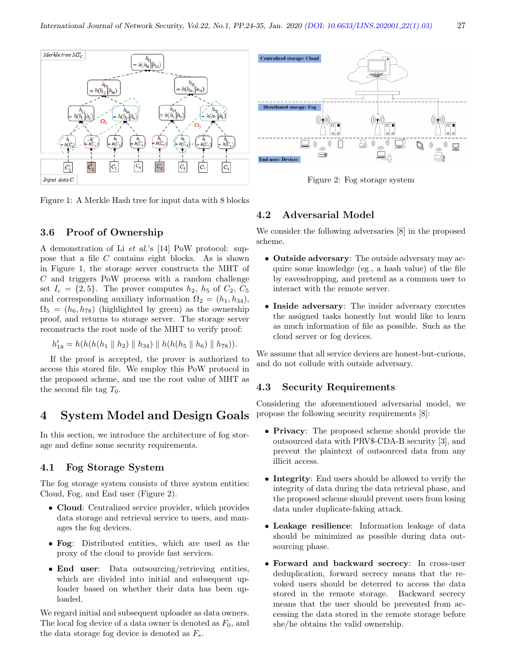

Figure 1: A Merkle Hash tree for input data with 8 blocks

## 3.6 Proof of Ownership

A demonstration of Li et al.'s [14] PoW protocol: suppose that a file C contains eight blocks. As is shown in Figure 1, the storage server constructs the MHT of C and triggers PoW process with a random challenge set  $I_c = \{2, 5\}$ . The prover computes  $h_2$ ,  $h_5$  of  $C_2$ ,  $C_5$ and corresponding auxiliary information  $\Omega_2 = (h_1, h_{34}),$  $\Omega_5 = (h_6, h_{78})$  (highlighted by green) as the ownership proof, and returns to storage server. The storage server reconstructs the root node of the MHT to verify proof:

$$
h'_{18} = h(h(h(h_1 \parallel h_2) \parallel h_{34}) \parallel h(h(h_5 \parallel h_6) \parallel h_{78})).
$$

If the proof is accepted, the prover is authorized to access this stored file. We employ this PoW protocol in the proposed scheme, and use the root value of MHT as the second file tag  $T_0$ .

# 4 System Model and Design Goals

In this section, we introduce the architecture of fog storage and define some security requirements.

## 4.1 Fog Storage System

The fog storage system consists of three system entities: Cloud, Fog, and End user (Figure 2).

- Cloud: Centralized service provider, which provides data storage and retrieval service to users, and manages the fog devices.
- Fog: Distributed entities, which are used as the proxy of the cloud to provide fast services.
- End user: Data outsourcing/retrieving entities, which are divided into initial and subsequent uploader based on whether their data has been uploaded.

We regard initial and subsequent uploader as data owners. The local fog device of a data owner is denoted as  $F_0$ , and the data storage fog device is denoted as  $F_s$ .

## 4.2 Adversarial Model

We consider the following adversaries [8] in the proposed scheme.

- Outside adversary: The outside adversary may acquire some knowledge (eg., a hash value) of the file by eavesdropping, and pretend as a common user to interact with the remote server.
- Inside adversary: The insider adversary executes the assigned tasks honestly but would like to learn as much information of file as possible. Such as the cloud server or fog devices.

We assume that all service devices are honest-but-curious, and do not collude with outside adversary.

#### 4.3 Security Requirements

Considering the aforementioned adversarial model, we propose the following security requirements [8]:

- Privacy: The proposed scheme should provide the outsourced data with PRV\$-CDA-B security [3], and prevent the plaintext of outsourced data from any illicit access.
- Integrity: End users should be allowed to verify the integrity of data during the data retrieval phase, and the proposed scheme should prevent users from losing data under duplicate-faking attack.
- Leakage resilience: Information leakage of data should be minimized as possible during data outsourcing phase.
- Forward and backward secrecy: In cross-user deduplication, forward secrecy means that the revoked users should be deterred to access the data stored in the remote storage. Backward secrecy means that the user should be prevented from accessing the data stored in the remote storage before she/he obtains the valid ownership.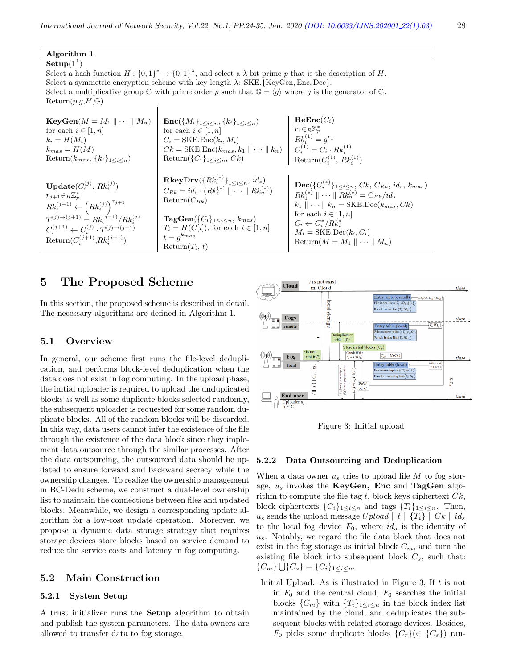Algorithm 1  $\overline{\mathbf{Setup}(1^{\lambda})}$ Select a hash function  $H: \{0,1\}^* \to \{0,1\}^{\lambda}$ , and select a  $\lambda$ -bit prime p that is the description of H. Select a symmetric encryption scheme with key length  $\lambda$ : SKE.{KeyGen, Enc, Dec}. Select a multiplicative group G with prime order p such that  $G = \langle g \rangle$  where g is the generator of G.  $Return(p,g,H,\mathbb{G})$  $\mathbf{KeyGen}(M = M_1 \parallel \cdots \parallel M_n)$ for each  $i \in [1, n]$  $k_i = H(M_i)$  $k_{mas} = H(M)$ Return( $k_{mas}$ , { $k_i$ }<sub>1≤i≤n</sub>)  $\mathbf{Enc}(\{M_i\}_{1 \leq i \leq n}, \{k_i\}_{1 \leq i \leq n})$ for each  $i \in [1, n]$  $C_i = \text{SKE}$ .Enc $(k_i, M_i)$  $C_i$  = SKE.Enc( $k_i$ ,  $M_i$ )<br>  $Ck$  = SKE.Enc( $k_{max}$ ,  $k_1 \parallel \cdots \parallel k_n$ )  $\mathrm{Return}(\{C_i\}_{1 \leq i \leq n}, \, Ck)$  $\mathrm{ReEnc}(C_i)$  $r_1 \in_R \mathbb{Z}_p^*$ <br> $Rk_i^{(1)} = g^{r_1}$  $C_i^{(1)} = C_i \cdot R k_i^{(1)}$ <br>Return $(C_i^{(1)}, R k_i^{(1)})$  $\mathbf{Update}(C_i^{(j)},\, Rk_i^{(j)})$  $r_{j+1} \in_R \mathbb{Z}_p^*$ <br>  $Rk_i^{(j+1)} \leftarrow (Rk_i^{(j)})^{r_{j+1}}$  $T^{(j)\to (j+1)} = R k_i^{(j+1)}/R k_i^{(j)}$  $C_i^{(j+1)} \leftarrow C_i^{(j)} \cdot T^{(j) \to (j+1)}$ Return $(C_i^{(j+1)}, R k_i^{(j+1)})$  $\mathbf{R} \mathbf{keyDrv}(\{R k_i^{(*)}\}_{1\leq i\leq n},\, id_s)$  $C_{Rk} = id_s \cdot (Rk_1^{(*)} \parallel \cdots \parallel Rk_n^{(*)})$  $Return(C_{Rk})$  $\textbf{TagGen}(\{C_i\}_{1 \leq i \leq n}, k_{mas})$  $T_i = H(C[i]),$  for each  $i \in [1, n]$  $t = g^{k_{mas}}$  $Return(T_i, t)$  $\textbf{Dec}(\{C_i^{(*)}\}_{1\leq i \leq n}, \, Ck, \, C_{Rk}, \, id_s, \, k_{mas})$  $Rk_1^{(*)} \parallel \cdots \parallel Rk_n^{(*)} = C_{Rk}/id_s$  $k_1 \parallel \cdots \parallel k_n = \text{SKE}.\text{Dec}(k_{mas}, Ck)$ for each  $i \in [1, n]$  $C_i \leftarrow C_i^* / R k_i^*$  $M_i = \text{SKE}.\text{Dec}(k_i, C_i)$ Return $(M = M_1 \parallel \cdots \parallel M_n)$ 

# 5 The Proposed Scheme

In this section, the proposed scheme is described in detail. The necessary algorithms are defined in Algorithm 1.

#### 5.1 Overview

In general, our scheme first runs the file-level deduplication, and performs block-level deduplication when the data does not exist in fog computing. In the upload phase, the initial uploader is required to upload the unduplicated blocks as well as some duplicate blocks selected randomly, the subsequent uploader is requested for some random duplicate blocks. All of the random blocks will be discarded. In this way, data users cannot infer the existence of the file through the existence of the data block since they implement data outsource through the similar processes. After the data outsourcing, the outsourced data should be updated to ensure forward and backward secrecy while the ownership changes. To realize the ownership management in BC-Dedu scheme, we construct a dual-level ownership list to maintain the connections between files and updated blocks. Meanwhile, we design a corresponding update algorithm for a low-cost update operation. Moreover, we propose a dynamic data storage strategy that requires storage devices store blocks based on service demand to reduce the service costs and latency in fog computing.

## 5.2 Main Construction

## 5.2.1 System Setup

A trust initializer runs the Setup algorithm to obtain and publish the system parameters. The data owners are allowed to transfer data to fog storage.





#### 5.2.2 Data Outsourcing and Deduplication

When a data owner  $u_s$  tries to upload file  $M$  to fog storage,  $u_s$  invokes the KeyGen, Enc and TagGen algorithm to compute the file tag t, block keys ciphertext  $C_k$ , block ciphertexts  $\{C_i\}_{1 \leq i \leq n}$  and tags  $\{T_i\}_{1 \leq i \leq n}$ . Then,  $u_s$  sends the upload message Upload  $||t|| \{T_i\} || C_k || id_s$ to the local fog device  $F_0$ , where  $id_s$  is the identity of  $u<sub>s</sub>$ . Notably, we regard the file data block that does not exist in the fog storage as initial block  $C_m$ , and turn the existing file block into subsequent block  $C_s$ , such that:  ${C_m}\bigcup{C_s} = {C_i}_{1 \leq i \leq n}.$ 

Initial Upload: As is illustrated in Figure 3, If  $t$  is not in  $F_0$  and the central cloud,  $F_0$  searches the initial blocks  $\{C_m\}$  with  $\{T_i\}_{1\leq i\leq n}$  in the block index list maintained by the cloud, and deduplicates the subsequent blocks with related storage devices. Besides,  $F_0$  picks some duplicate blocks  $\{C_r\}$  $(\in \{C_s\})$  ran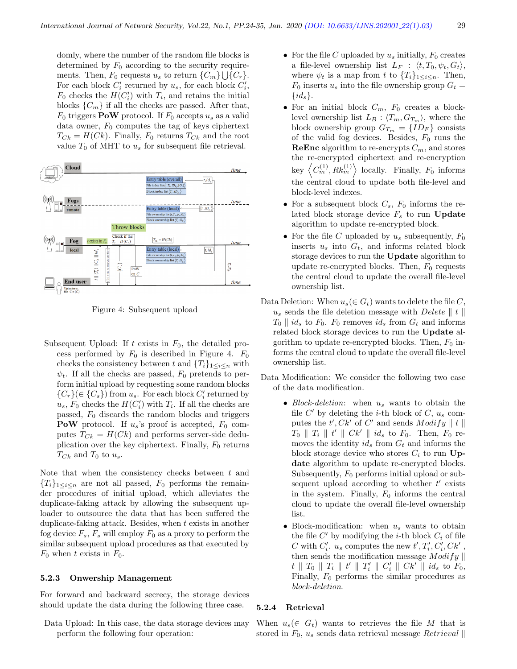domly, where the number of the random file blocks is determined by  $F_0$  according to the security requirements. Then,  $F_0$  requests  $u_s$  to return  $\{C_m\}\bigcup \{C_r\}.$ For each block  $C_i'$  returned by  $u_s$ , for each block  $C_i'$ ,  $F_0$  checks the  $H(C_i')$  with  $T_i$ , and retains the initial blocks  $\{C_m\}$  if all the checks are passed. After that,  $F_0$  triggers **PoW** protocol. If  $F_0$  accepts  $u_s$  as a valid data owner,  $F_0$  computes the tag of keys ciphertext  $T_{Ck} = H(Ck)$ . Finally,  $F_0$  returns  $T_{Ck}$  and the root value  $T_0$  of MHT to  $u_s$  for subsequent file retrieval.



Figure 4: Subsequent upload

Subsequent Upload: If t exists in  $F_0$ , the detailed process performed by  $F_0$  is described in Figure 4.  $F_0$ checks the consistency between t and  $\{T_i\}_{1\leq i\leq n}$  with  $\psi_t$ . If all the checks are passed,  $F_0$  pretends to perform initial upload by requesting some random blocks  ${C<sub>r</sub>}(\in {C<sub>s</sub>})$  from  $u<sub>s</sub>$ . For each block  $C'_i$  returned by  $u_s$ ,  $F_0$  checks the  $H(C_i')$  with  $T_i$ . If all the checks are passed,  $F_0$  discards the random blocks and triggers **PoW** protocol. If  $u_s$ 's proof is accepted,  $F_0$  computes  $T_{Ck} = H(Ck)$  and performs server-side deduplication over the key ciphertext. Finally,  $F_0$  returns  $T_{Ck}$  and  $T_0$  to  $u_s$ .

Note that when the consistency checks between  $t$  and  ${T_i}_{1 \leq i \leq n}$  are not all passed,  $F_0$  performs the remainder procedures of initial upload, which alleviates the duplicate-faking attack by allowing the subsequent uploader to outsource the data that has been suffered the duplicate-faking attack. Besides, when  $t$  exists in another fog device  $F_s$ ,  $F_s$  will employ  $F_0$  as a proxy to perform the similar subsequent upload procedures as that executed by  $F_0$  when t exists in  $F_0$ .

#### 5.2.3 Onwership Management

For forward and backward secrecy, the storage devices should update the data during the following three case.

Data Upload: In this case, the data storage devices may perform the following four operation:

- For the file C uploaded by  $u_s$  initially,  $F_0$  creates a file-level ownership list  $L_F$  :  $\langle t, T_0, \psi_t, G_t \rangle$ , where  $\psi_t$  is a map from t to  $\{T_i\}_{1 \leq i \leq n}$ . Then,  $F_0$  inserts  $u_s$  into the file ownership group  $G_t =$  $\{id_s\}.$
- For an initial block  $C_m$ ,  $F_0$  creates a blocklevel ownership list  $L_B$  :  $\langle T_m, G_{T_m} \rangle$ , where the block ownership group  $G_{T_m} = \{ID_F\}$  consists of the valid fog devices. Besides,  $F_0$  runs the **ReEnc** algorithm to re-encrypts  $C_m$ , and stores the re-encrypted ciphertext and re-encryption key  $\left\langle C_m^{(1)}, R k_m^{(1)} \right\rangle$  locally. Finally,  $F_0$  informs the central cloud to update both file-level and block-level indexes.
- For a subsequent block  $C_s$ ,  $F_0$  informs the related block storage device  $F_s$  to run Update algorithm to update re-encrypted block.
- For the file C uploaded by  $u_s$  subsequently,  $F_0$ inserts  $u_s$  into  $G_t$ , and informs related block storage devices to run the Update algorithm to update re-encrypted blocks. Then,  $F_0$  requests the central cloud to update the overall file-level ownership list.
- Data Deletion: When  $u_s$ ( $\in G_t$ ) wants to delete the file C,  $u_s$  sends the file deletion message with Delete  $\parallel t \parallel$  $T_0 \parallel id_s$  to  $F_0$ .  $F_0$  removes  $id_s$  from  $G_t$  and informs related block storage devices to run the Update algorithm to update re-encrypted blocks. Then,  $F_0$  informs the central cloud to update the overall file-level ownership list.

Data Modification: We consider the following two case of the data modification.

- Block-deletion: when  $u_s$  wants to obtain the file  $C'$  by deleting the *i*-th block of  $C, u_s$  computes the  $t'$ ,  $Ck'$  of  $C'$  and sends  $Modify \parallel t \parallel$  $T_0 \parallel T_i \parallel t' \parallel Ck' \parallel id_s$  to  $F_0$ . Then,  $F_0$  removes the identity  $id_s$  from  $G_t$  and informs the block storage device who stores  $C_i$  to run Update algorithm to update re-encrypted blocks. Subsequently,  $F_0$  performs initial upload or subsequent upload according to whether  $t'$  exists in the system. Finally,  $F_0$  informs the central cloud to update the overall file-level ownership list.
- Block-modification: when  $u_s$  wants to obtain the file  $C'$  by modifying the *i*-th block  $C_i$  of file C with  $C_i'$ ,  $u_s$  computes the new  $t', T_i', C_i', C_k'$ , then sends the modification message  $Modify \parallel$  $t \parallel T_0 \parallel T_i \parallel t' \parallel T'_i \parallel C'_i \parallel Ck' \parallel id_s$  to  $F_0$ , Finally,  $F_0$  performs the similar procedures as block-deletion.

#### 5.2.4 Retrieval

When  $u_s(\in G_t)$  wants to retrieves the file M that is stored in  $F_0$ ,  $u_s$  sends data retrieval message Retrieval ||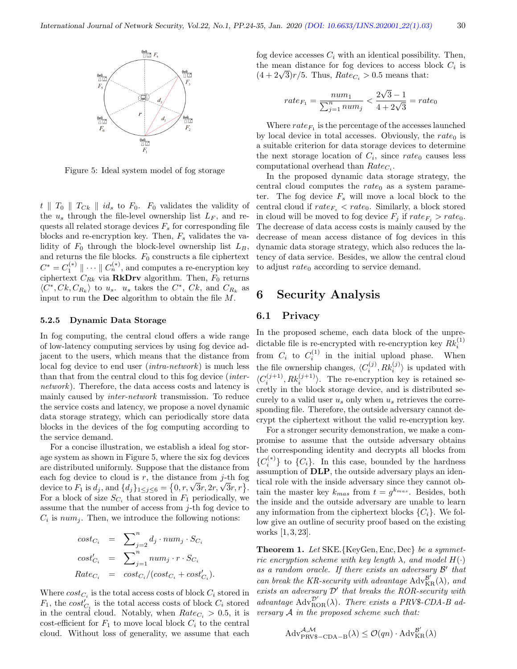

Figure 5: Ideal system model of fog storage

 $t \parallel T_0 \parallel T_{Ck} \parallel id_s$  to  $F_0$ .  $F_0$  validates the validity of the  $u_s$  through the file-level ownership list  $L_F$ , and requests all related storage devices  $F_s$  for corresponding file blocks and re-encryption key. Then,  $F_s$  validates the validity of  $F_0$  through the block-level ownership list  $L_B$ , and returns the file blocks.  $F_0$  constructs a file ciphertext  $C^* = C_1^{(*)} \parallel \cdots \parallel C_n^{(*)}$ , and computes a re-encryption key ciphertext  $C_{Rk}$  via **RkDrv** algorithm. Then,  $F_0$  returns  $\langle C^*, Ck, C_{R_k} \rangle$  to  $u_s$ .  $u_s$  takes the  $C^*, Ck$ , and  $C_{R_k}$  as input to run the Dec algorithm to obtain the file M.

#### 5.2.5 Dynamic Data Storage

In fog computing, the central cloud offers a wide range of low-latency computing services by using fog device adjacent to the users, which means that the distance from local fog device to end user (intra-network) is much less than that from the central cloud to this fog device (internetwork). Therefore, the data access costs and latency is mainly caused by inter-network transmission. To reduce the service costs and latency, we propose a novel dynamic data storage strategy, which can periodically store data blocks in the devices of the fog computing according to the service demand.

For a concise illustration, we establish a ideal fog storage system as shown in Figure 5, where the six fog devices are distributed uniformly. Suppose that the distance from each fog device to cloud is  $r$ , the distance from  $j$ -th fog each tog device to cloud is r, the distance from *j*-th tog<br>device to  $F_1$  is  $d_j$ , and  $\{d_j\}_{1 \leq j \leq 6} = \{0, r, \sqrt{3}r, 2r, \sqrt{3}r, r\}$ . For a block of size  $S_{C_i}$  that stored in  $F_1$  periodically, we assume that the number of access from  $j$ -th fog device to  $C_i$  is  $num_j$ . Then, we introduce the following notions:

$$
cost_{C_i} = \sum_{j=2}^{n} d_j \cdot num_j \cdot S_{C_i}
$$
  
\n
$$
cost'_{C_i} = \sum_{j=1}^{n} num_j \cdot r \cdot S_{C_i}
$$
  
\n
$$
Rate_{C_i} = cost_{C_i}/(cost_{C_i} + cost'_{C_i}).
$$

Where  $cost_{C_i}$  is the total access costs of block  $C_i$  stored in  $F_1$ , the  $cost'_{C_i}$  is the total access costs of block  $C_i$  stored in the central cloud. Notably, when  $Rate_{C_i} > 0.5$ , it is cost-efficient for  $F_1$  to move local block  $C_i$  to the central cloud. Without loss of generality, we assume that each

fog device accesses  $C_i$  with an identical possibility. Then, the mean distance for fog devices to access block  $C_i$  is the mean distance for fog devices to access b<br> $(4 + 2\sqrt{3})r/5$ . Thus,  $Rate_{C_i} > 0.5$  means that:

$$
rate_{F_1} = \frac{num_1}{\sum_{j=1}^{n} num_j} < \frac{2\sqrt{3} - 1}{4 + 2\sqrt{3}} = rate_0
$$

Where  $rate_{F_1}$  is the percentage of the accesses launched by local device in total accesses. Obviously, the  $rate_0$  is a suitable criterion for data storage devices to determine the next storage location of  $C_i$ , since rate<sub>0</sub> causes less computational overhead than  $Rate_{C_i}$ .

In the proposed dynamic data storage strategy, the central cloud computes the  $rate<sub>0</sub>$  as a system parameter. The fog device  $F_s$  will move a local block to the central cloud if  $rate_{F_s} < rate_0$ . Similarly, a block stored in cloud will be moved to fog device  $F_j$  if  $rate_{F_j} > rate_0$ . The decrease of data access costs is mainly caused by the decrease of mean access distance of fog devices in this dynamic data storage strategy, which also reduces the latency of data service. Besides, we allow the central cloud to adjust  $rate_0$  according to service demand.

# 6 Security Analysis

#### 6.1 Privacy

In the proposed scheme, each data block of the unpredictable file is re-encrypted with re-encryption key  $Rk_i^{(1)}$ from  $C_i$  to  $C_i^{(1)}$  in the initial upload phase. When the file ownership changes,  $\langle C_i^{(j)}, R k_i^{(j)} \rangle$  is updated with  $\langle C_i^{(j+1)}, R k_i^{(j+1)} \rangle$ . The re-encryption key is retained secretly in the block storage device, and is distributed securely to a valid user  $u_s$  only when  $u_s$  retrieves the corresponding file. Therefore, the outside adversary cannot decrypt the ciphertext without the valid re-encryption key.

For a stronger security demonstration, we make a compromise to assume that the outside adversary obtains the corresponding identity and decrypts all blocks from  ${C_i^{(*)}}$  to  ${C_i}$ . In this case, bounded by the hardness assumption of DLP, the outside adversary plays an identical role with the inside adversary since they cannot obtain the master key  $k_{mas}$  from  $t = g^{k_{mas}}$ . Besides, both the inside and the outside adversary are unable to learn any information from the ciphertext blocks  $\{C_i\}$ . We follow give an outline of security proof based on the existing works [1, 3, 23].

Theorem 1. Let SKE. {KeyGen, Enc, Dec} be a symmetric encryption scheme with key length  $\lambda$ , and model  $H(\cdot)$ as a random oracle. If there exists an adversary  $\mathcal{B}'$  that can break the KR-security with advantage  $\operatorname{Adv}_{\operatorname{KR}}^{\mathcal{B}'}(\lambda)$ , and exists an adversary  $\mathcal{D}'$  that breaks the ROR-security with advantage  $\text{Adv}_{\text{ROR}}^{\mathcal{D}'}(\lambda)$ . There exists a PRV\$-CDA-B adversary  $A$  in the proposed scheme such that:

$$
\mathrm{Adv}_{\mathrm{PRVS-CDA-B}}^{\mathcal{A},\mathcal{M}}(\lambda) \leq \mathcal{O}(qn) \cdot \mathrm{Adv}_{\mathrm{KR}}^{\mathcal{B}'}(\lambda)
$$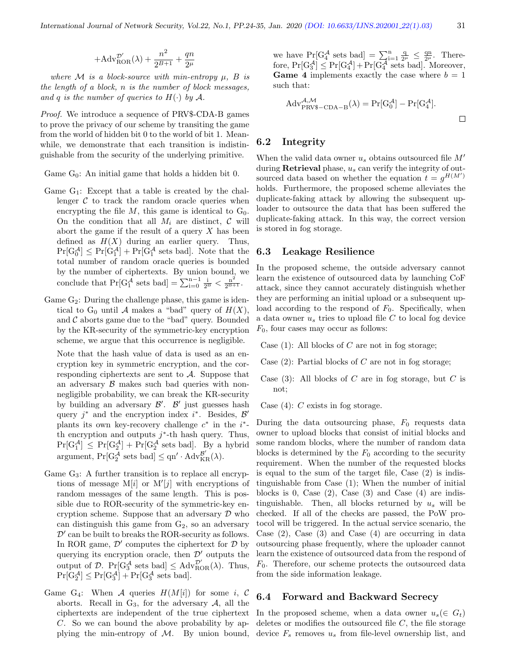$$
+\mathrm{Adv}_{\mathrm{ROR}}^{\mathcal{D}'}(\lambda)+\frac{n^2}{2^{B+1}}+\frac{qn}{2^\mu}
$$

where M is a block-source with min-entropy  $\mu$ , B is the length of a block, n is the number of block messages, and q is the number of queries to  $H(\cdot)$  by A.

Proof. We introduce a sequence of PRV\$-CDA-B games to prove the privacy of our scheme by transiting the game from the world of hidden bit 0 to the world of bit 1. Meanwhile, we demonstrate that each transition is indistinguishable from the security of the underlying primitive.

Game  $G_0$ : An initial game that holds a hidden bit 0.

- Game  $G_1$ : Except that a table is created by the challenger  $\mathcal C$  to track the random oracle queries when encrypting the file  $M$ , this game is identical to  $G_0$ . On the condition that all  $M_i$  are distinct,  $\mathcal C$  will abort the game if the result of a query  $X$  has been defined as  $H(X)$  during an earlier query. Thus,  $Pr[G_0^{\mathcal{A}}] \leq Pr[G_1^{\mathcal{A}}] + Pr[G_1^{\mathcal{A}} \text{ sets bad}]$ . Note that the total number of random oracle queries is bounded by the number of ciphertexts. By union bound, we conclude that  $Pr[G_1^{\mathcal{A}} \text{ sets bad}] = \sum_{i=0}^{n-1} \frac{i}{2^B} < \frac{n^2}{2^{B+1}}$ .
- Game  $G_2$ : During the challenge phase, this game is identical to  $G_0$  until A makes a "bad" query of  $H(X)$ , and  $C$  aborts game due to the "bad" query. Bounded by the KR-security of the symmetric-key encryption scheme, we argue that this occurrence is negligible.

Note that the hash value of data is used as an encryption key in symmetric encryption, and the corresponding ciphertexts are sent to  $A$ . Suppose that an adversary  $\beta$  makes such bad queries with nonnegligible probability, we can break the KR-security by building an adversary  $\mathcal{B}'$ .  $\mathcal{B}'$  just guesses hash query  $j^*$  and the encryption index  $i^*$ . Besides,  $\mathcal{B}'$ plants its own key-recovery challenge  $c^*$  in the  $i^*$ th encryption and outputs  $j^*$ -th hash query. Thus,  $Pr[G_1^{\mathcal{A}}] \leq Pr[G_2^{\mathcal{A}}] + Pr[G_2^{\mathcal{A}} \text{ sets bad}]$ . By a hybrid  $\text{argument}, \Pr[G_2^{\overline{A}} \text{ sets bad}] \le \text{qn}' \cdot \text{Adv}_{KR}^{\mathcal{B}'}(\lambda).$ 

- Game  $G_3$ : A further transition is to replace all encryptions of message  $M[i]$  or  $M'[j]$  with encryptions of random messages of the same length. This is possible due to ROR-security of the symmetric-key encryption scheme. Suppose that an adversary  $\mathcal D$  who can distinguish this game from  $G_2$ , so an adversary  $\mathcal{D}'$  can be built to breaks the ROR-security as follows. In ROR game,  $\mathcal{D}'$  computes the ciphertext for  $\mathcal D$  by querying its encryption oracle, then  $\mathcal{D}'$  outputs the output of  $\mathcal{D}$ . Pr[G<sub>3</sub><sup>A</sup> sets bad]  $\leq$  Adv<sub>ROR</sub>( $\lambda$ ). Thus,  $Pr[G_2^{\mathcal{A}}] \leq Pr[G_3^{\mathcal{A}}] + Pr[G_3^{\mathcal{A}} \text{ sets bad}].$
- Game G<sub>4</sub>: When A queries  $H(M[i])$  for some i, C aborts. Recall in  $G_3$ , for the adversary  $A$ , all the ciphertexts are independent of the true ciphertext C. So we can bound the above probability by applying the min-entropy of  $M$ . By union bound,

we have  $Pr[G_4^{\mathcal{A}} \text{ sets bad}] = \sum_{i=1}^n \frac{q_i}{2^{\mu}} \leq \frac{qn}{2^{\mu}}$ . Therefore,  $Pr[G_3^{\mathcal{A}}] \leq Pr[G_4^{\mathcal{A}}] + Pr[G_4^{\overline{\mathcal{A}}} \text{ sets bad}]$ . Moreover, **Game 4** implements exactly the case where  $b = 1$ such that:

$$
Adv_{PRVS-CDA-B}^{\mathcal{A},\mathcal{M}}(\lambda) = Pr[G_0^{\mathcal{A}}] - Pr[G_4^{\mathcal{A}}].
$$

## 6.2 Integrity

When the valid data owner  $u_s$  obtains outsourced file  $M'$ during **Retrieval** phase,  $u_s$  can verify the integrity of outsourced data based on whether the equation  $t = g^{H(M')}$ holds. Furthermore, the proposed scheme alleviates the duplicate-faking attack by allowing the subsequent uploader to outsource the data that has been suffered the duplicate-faking attack. In this way, the correct version is stored in fog storage.

#### 6.3 Leakage Resilience

In the proposed scheme, the outside adversary cannot learn the existence of outsourced data by launching CoF attack, since they cannot accurately distinguish whether they are performing an initial upload or a subsequent upload according to the respond of  $F_0$ . Specifically, when a data owner  $u_s$  tries to upload file C to local fog device  $F_0$ , four cases may occur as follows:

Case  $(1)$ : All blocks of C are not in fog storage;

Case  $(2)$ : Partial blocks of C are not in fog storage;

Case (3): All blocks of  $C$  are in fog storage, but  $C$  is not;

Case  $(4)$ : C exists in fog storage.

During the data outsourcing phase,  $F_0$  requests data owner to upload blocks that consist of initial blocks and some random blocks, where the number of random data blocks is determined by the  $F_0$  according to the security requirement. When the number of the requested blocks is equal to the sum of the target file, Case (2) is indistinguishable from Case (1); When the number of initial blocks is 0, Case  $(2)$ , Case  $(3)$  and Case  $(4)$  are indistinguishable. Then, all blocks returned by  $u_s$  will be checked. If all of the checks are passed, the PoW protocol will be triggered. In the actual service scenario, the Case  $(2)$ , Case  $(3)$  and Case  $(4)$  are occurring in data outsourcing phase frequently, where the uploader cannot learn the existence of outsourced data from the respond of  $F_0$ . Therefore, our scheme protects the outsourced data from the side information leakage.

#### 6.4 Forward and Backward Secrecy

In the proposed scheme, when a data owner  $u_s(\in G_t)$ deletes or modifies the outsourced file  $C$ , the file storage device  $F_s$  removes  $u_s$  from file-level ownership list, and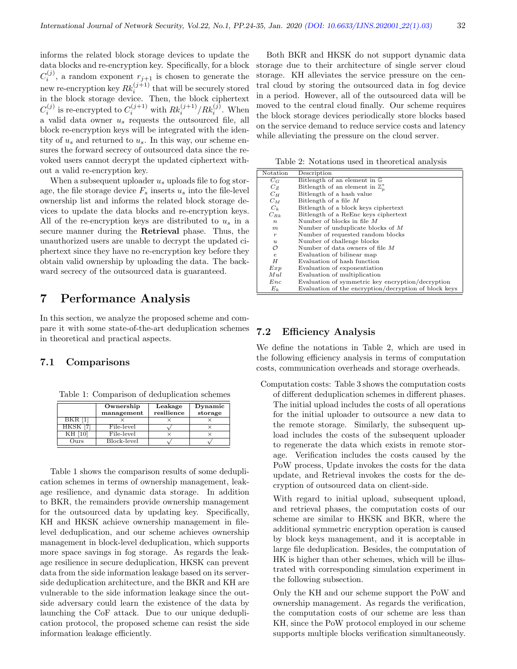informs the related block storage devices to update the data blocks and re-encryption key. Specifically, for a block  $C_i^{(j)}$ , a random exponent  $r_{j+1}$  is chosen to generate the  $\mathcal{L}_i$ , a random exponent  $\tau_{j+1}$  is chosen to generate the<br>new re-encryption key  $Rk_i^{(j+1)}$  that will be securely stored in the block storage device. Then, the block ciphertext  $C_i^{(j)}$  is re-encrypted to  $C_i^{(j+1)}$  with  $Rk_i^{(j+1)}/Rk_i^{(j)}$ . When a valid data owner  $u_s$  requests the outsourced file, all block re-encryption keys will be integrated with the identity of  $u_s$  and returned to  $u_s$ . In this way, our scheme ensures the forward secrecy of outsourced data since the revoked users cannot decrypt the updated ciphertext without a valid re-encryption key.

When a subsequent uploader  $u_s$  uploads file to fog storage, the file storage device  $F_s$  inserts  $u_s$  into the file-level ownership list and informs the related block storage devices to update the data blocks and re-encryption keys. All of the re-encryption keys are distributed to  $u_s$  in a secure manner during the Retrieval phase. Thus, the unauthorized users are unable to decrypt the updated ciphertext since they have no re-encryption key before they obtain valid ownership by uploading the data. The backward secrecy of the outsourced data is guaranteed.

# 7 Performance Analysis

In this section, we analyze the proposed scheme and compare it with some state-of-the-art deduplication schemes in theoretical and practical aspects.

## 7.1 Comparisons

Table 1: Comparison of deduplication schemes

|               | Ownership<br>management | Leakage<br>resilience | Dynamic<br>storage |
|---------------|-------------------------|-----------------------|--------------------|
| BKR [1        |                         |                       |                    |
| <b>HKSK</b>   | File-level              |                       |                    |
| KH            | File-level              |                       |                    |
| $_{\rm nirs}$ | Block-level             |                       |                    |

Table 1 shows the comparison results of some deduplication schemes in terms of ownership management, leakage resilience, and dynamic data storage. In addition to BKR, the remainders provide ownership management for the outsourced data by updating key. Specifically, KH and HKSK achieve ownership management in filelevel deduplication, and our scheme achieves ownership management in block-level deduplication, which supports more space savings in fog storage. As regards the leakage resilience in secure deduplication, HKSK can prevent data from the side information leakage based on its serverside deduplication architecture, and the BKR and KH are vulnerable to the side information leakage since the outside adversary could learn the existence of the data by launching the CoF attack. Due to our unique deduplication protocol, the proposed scheme can resist the side information leakage efficiently.

Both BKR and HKSK do not support dynamic data storage due to their architecture of single server cloud storage. KH alleviates the service pressure on the central cloud by storing the outsourced data in fog device in a period. However, all of the outsourced data will be moved to the central cloud finally. Our scheme requires the block storage devices periodically store blocks based on the service demand to reduce service costs and latency while alleviating the pressure on the cloud server.

Table 2: Notations used in theoretical analysis

| Notation         | Description                                           |
|------------------|-------------------------------------------------------|
| $C_G$            | Bitlength of an element in G                          |
| $C_{Z}$          | Bitlength of an element in $\mathbb{Z}_n^*$           |
| $C_H$            | Bitlength of a hash value                             |
| $C_M$            | Bitlength of a file $M$                               |
| $C_k$            | Bitlength of a block keys ciphertext                  |
| $C_{Rk}$         | Bitlength of a ReEnc keys ciphertext                  |
| $\boldsymbol{n}$ | Number of blocks in file $M$                          |
| m                | Number of unduplicate blocks of $M$                   |
| $\boldsymbol{r}$ | Number of requested random blocks                     |
| $\mathbf{u}$     | Number of challenge blocks                            |
| O                | Number of data owners of file $M$                     |
| $\epsilon$       | Evaluation of bilinear map                            |
| H                | Evaluation of hash function                           |
| Exp              | Evaluation of exponentiation                          |
| $_{Mul}$         | Evaluation of multiplication                          |
| Enc              | Evaluation of symmetric key encryption/decryption     |
| $E_k$            | Evaluation of the encryption/decryption of block keys |

## 7.2 Efficiency Analysis

We define the notations in Table 2, which are used in the following efficiency analysis in terms of computation costs, communication overheads and storage overheads.

Computation costs: Table 3 shows the computation costs of different deduplication schemes in different phases. The initial upload includes the costs of all operations for the initial uploader to outsource a new data to the remote storage. Similarly, the subsequent upload includes the costs of the subsequent uploader to regenerate the data which exists in remote storage. Verification includes the costs caused by the PoW process, Update invokes the costs for the data update, and Retrieval invokes the costs for the decryption of outsourced data on client-side.

With regard to initial upload, subsequent upload, and retrieval phases, the computation costs of our scheme are similar to HKSK and BKR, where the additional symmetric encryption operation is caused by block keys management, and it is acceptable in large file deduplication. Besides, the computation of HK is higher than other schemes, which will be illustrated with corresponding simulation experiment in the following subsection.

Only the KH and our scheme support the PoW and ownership management. As regards the verification, the computation costs of our scheme are less than KH, since the PoW protocol employed in our scheme supports multiple blocks verification simultaneously.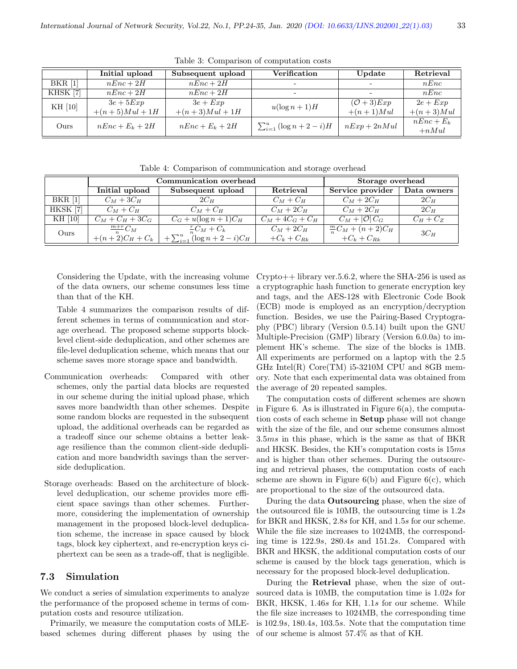|           | Initial upload    | Subsequent upload | <b>Verification</b>                | Update                   | Retrieval    |
|-----------|-------------------|-------------------|------------------------------------|--------------------------|--------------|
| $BKR$ [1] | $nEnc + 2H$       | $nEnc + 2H$       | $\overline{\phantom{0}}$           | $\overline{\phantom{0}}$ | nEnc         |
| KHSK [7]  | $nEnc + 2H$       | $nEnc + 2H$       | $\overline{\phantom{0}}$           | $\overline{\phantom{0}}$ | nEnc         |
| KH [10]   | $3e + 5Exp$       | $3e + Exp$        | $u(\log n+1)H$                     | $({\cal O}+3)Exp$        | $2e + Exp$   |
|           | $+(n+5)Mul + 1H$  | $+(n+3)Mul + 1H$  |                                    | $+(n+1)Mul$              | $+(n+3)Mul$  |
| Ours      | $nEnc + E_k + 2H$ | $nEnc + E_k + 2H$ | $\sum_{i=1}^{u} (\log n + 2 - i)H$ | $nExp + 2nMul$           | $nEnc + E_k$ |
|           |                   |                   |                                    |                          | $+nMul$      |

Table 3: Comparison of computation costs

Table 4: Comparison of communication and storage overhead

|                | Communication overhead |                                       |                | Storage overhead            |             |
|----------------|------------------------|---------------------------------------|----------------|-----------------------------|-------------|
|                | Initial upload         | Subsequent upload                     | Retrieval      | Service provider            | Data owners |
| <b>BKR</b> [1] | $C_M+3C_H$             | $2C_H$                                | $C_M + C_H$    | $C_M + 2C_H$                | $2C_H$      |
| HKSK [7]       | $C_M + C_H$            | $C_M + C_H$                           | $C_M + 2C_H$   | $C_M + 2C_H$                | $2C_H$      |
| KH [10]        | $C_M + C_H + 3C_G$     | $C_G + u(\log n + 1)C_H$              | $C_M+4C_G+C_H$ | $C_M +  \mathcal{O}  C_G$   | $C_H+C_Z$   |
| Ours           | $\frac{m+r}{m}C_M$     | $\frac{r}{n}C_M+C_k$                  | $C_M + 2C_H$   | $\frac{m}{n}C_M + (n+2)C_H$ | $3C_H$      |
|                | $+(n+2)C_H + C_k$      | $+\sum_{i=1}^{u} (\log n + 2 - i)C_H$ | $+C_k+C_{Rk}$  | $+C_k+C_{Rk}$               |             |

Considering the Update, with the increasing volume of the data owners, our scheme consumes less time than that of the KH.

Table 4 summarizes the comparison results of different schemes in terms of communication and storage overhead. The proposed scheme supports blocklevel client-side deduplication, and other schemes are file-level deduplication scheme, which means that our scheme saves more storage space and bandwidth.

- Communication overheads: Compared with other schemes, only the partial data blocks are requested in our scheme during the initial upload phase, which saves more bandwidth than other schemes. Despite some random blocks are requested in the subsequent upload, the additional overheads can be regarded as a tradeoff since our scheme obtains a better leakage resilience than the common client-side deduplication and more bandwidth savings than the serverside deduplication.
- Storage overheads: Based on the architecture of blocklevel deduplication, our scheme provides more efficient space savings than other schemes. Furthermore, considering the implementation of ownership management in the proposed block-level deduplication scheme, the increase in space caused by block tags, block key ciphertext, and re-encryption keys ciphertext can be seen as a trade-off, that is negligible.

## 7.3 Simulation

We conduct a series of simulation experiments to analyze the performance of the proposed scheme in terms of computation costs and resource utilization.

Primarily, we measure the computation costs of MLEbased schemes during different phases by using the

 $Crypto++ library$  ver. 5.6.2, where the SHA-256 is used as a cryptographic hash function to generate encryption key and tags, and the AES-128 with Electronic Code Book (ECB) mode is employed as an encryption/decryption function. Besides, we use the Pairing-Based Cryptography (PBC) library (Version 0.5.14) built upon the GNU Multiple-Precision (GMP) library (Version 6.0.0a) to implement HK's scheme. The size of the blocks is 1MB. All experiments are performed on a laptop with the 2.5 GHz Intel(R)  $Core(TM)$  i5-3210M CPU and 8GB memory. Note that each experimental data was obtained from the average of 20 repeated samples.

The computation costs of different schemes are shown in Figure 6. As is illustrated in Figure  $6(a)$ , the computation costs of each scheme in Setup phase will not change with the size of the file, and our scheme consumes almost 3.5ms in this phase, which is the same as that of BKR and HKSK. Besides, the KH's computation costs is 15ms and is higher than other schemes. During the outsourcing and retrieval phases, the computation costs of each scheme are shown in Figure  $6(b)$  and Figure  $6(c)$ , which are proportional to the size of the outsourced data.

During the data Outsourcing phase, when the size of the outsourced file is 10MB, the outsourcing time is 1.2s for BKR and HKSK, 2.8s for KH, and 1.5s for our scheme. While the file size increases to 1024MB, the corresponding time is 122.9s, 280.4s and 151.2s. Compared with BKR and HKSK, the additional computation costs of our scheme is caused by the block tags generation, which is necessary for the proposed block-level deduplication.

During the Retrieval phase, when the size of outsourced data is 10MB, the computation time is 1.02s for BKR, HKSK, 1.46s for KH, 1.1s for our scheme. While the file size increases to 1024MB, the corresponding time is 102.9s, 180.4s, 103.5s. Note that the computation time of our scheme is almost 57.4% as that of KH.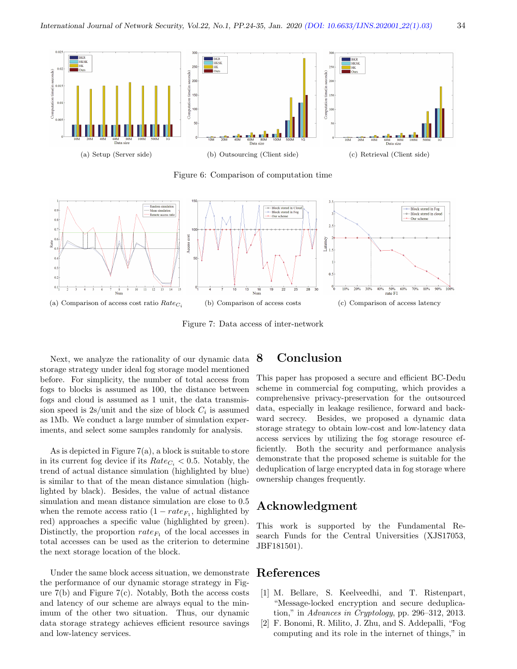

Figure 6: Comparison of computation time



Figure 7: Data access of inter-network

Next, we analyze the rationality of our dynamic data storage strategy under ideal fog storage model mentioned before. For simplicity, the number of total access from fogs to blocks is assumed as 100, the distance between fogs and cloud is assumed as 1 unit, the data transmission speed is  $2s/unit$  and the size of block  $C_i$  is assumed as 1Mb. We conduct a large number of simulation experiments, and select some samples randomly for analysis.

As is depicted in Figure  $7(a)$ , a block is suitable to store in its current fog device if its  $Rate_{C_i} < 0.5$ . Notably, the trend of actual distance simulation (highlighted by blue) is similar to that of the mean distance simulation (highlighted by black). Besides, the value of actual distance simulation and mean distance simulation are close to 0.5 when the remote access ratio  $(1 - rate_{F_1})$ , highlighted by red) approaches a specific value (highlighted by green). Distinctly, the proportion  $rate_{F_1}$  of the local accesses in total accesses can be used as the criterion to determine the next storage location of the block.

Under the same block access situation, we demonstrate the performance of our dynamic storage strategy in Figure 7(b) and Figure 7(c). Notably, Both the access costs and latency of our scheme are always equal to the minimum of the other two situation. Thus, our dynamic data storage strategy achieves efficient resource savings and low-latency services.

# 8 Conclusion

This paper has proposed a secure and efficient BC-Dedu scheme in commercial fog computing, which provides a comprehensive privacy-preservation for the outsourced data, especially in leakage resilience, forward and backward secrecy. Besides, we proposed a dynamic data storage strategy to obtain low-cost and low-latency data access services by utilizing the fog storage resource efficiently. Both the security and performance analysis demonstrate that the proposed scheme is suitable for the deduplication of large encrypted data in fog storage where ownership changes frequently.

# Acknowledgment

This work is supported by the Fundamental Research Funds for the Central Universities (XJS17053, JBF181501).

# References

- [1] M. Bellare, S. Keelveedhi, and T. Ristenpart, "Message-locked encryption and secure deduplication," in Advances in Cryptology, pp. 296–312, 2013.
- [2] F. Bonomi, R. Milito, J. Zhu, and S. Addepalli, "Fog computing and its role in the internet of things," in